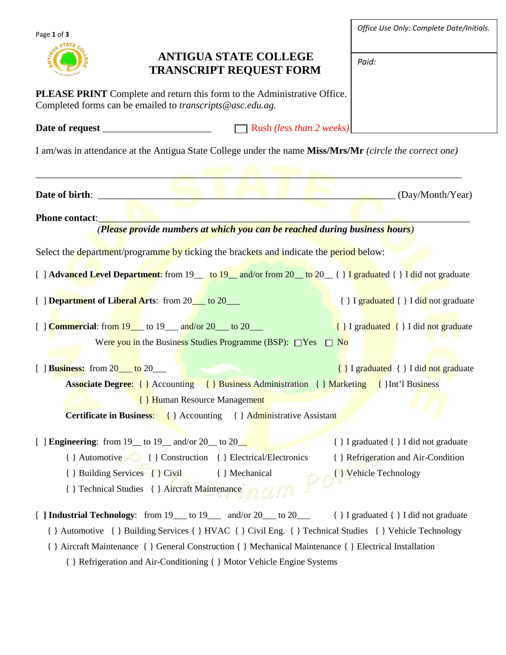| Page 1 of 3                                    |                                                                                                                                              | Office Use Only: Complete Date/Initials. |
|------------------------------------------------|----------------------------------------------------------------------------------------------------------------------------------------------|------------------------------------------|
|                                                | <b>ANTIGUA STATE COLLEGE</b><br><b>TRANSCRIPT REQUEST FORM</b>                                                                               | Paid:                                    |
|                                                | <b>PLEASE PRINT</b> Complete and return this form to the Administrative Office.<br>Completed forms can be emailed to transcripts@asc.edu.ag. |                                          |
|                                                |                                                                                                                                              |                                          |
|                                                | I am/was in attendance at the Antigua State College under the name Miss/Mrs/Mr (circle the correct one)                                      |                                          |
|                                                |                                                                                                                                              |                                          |
|                                                |                                                                                                                                              | (Day/Month/Year)                         |
| <b>Phone contact:</b>                          |                                                                                                                                              |                                          |
|                                                | (Please provide numbers at which you can be reached during business hours)                                                                   |                                          |
|                                                | Select the department/programme by ticking the brackets and indicate the period below:                                                       |                                          |
|                                                | [ ] Advanced Level Department: from 19 <sub>___</sub> to 19__ and/or from 20__to 20__{ } I graduated { } I did not graduate                  |                                          |
| [ ] Department of Liberal Arts: from 20_to 20_ |                                                                                                                                              | { } I graduated { } I did not graduate   |
|                                                | $\left[\right]$ <b>Commercial:</b> from $19$ to $19$ and/or $20$ to $20$                                                                     | { } I graduated { } I did not graduate   |
|                                                | Were you in the Business Studies Programme (BSP): $\Box$ Yes $\Box$ No                                                                       |                                          |
| $[$ Business: from $20$ to $20$ to $20$        |                                                                                                                                              | { } I graduated { } I did not graduate   |
|                                                | Associate Degree: { } Accounting { } Business Administration { } Marketing { } Int'l Business                                                |                                          |
|                                                | <b>{ } Human Resource Management</b>                                                                                                         |                                          |
|                                                | <b>Certificate in Business:</b> { } Accounting { } Administrative Assistant                                                                  |                                          |
|                                                | [ ] <b>Engineering</b> : from 19_to 19_and/or 20_to 20_                                                                                      | { } I graduated { } I did not graduate   |
|                                                | { } Automotive { } Construction { } Electrical/Electronics                                                                                   | { } Refrigeration and Air-Condition      |
|                                                | { } Building Services { } Civil { } Mechanical                                                                                               | P O <sup>{</sup> } Vehicle Technology    |
|                                                | { } Technical Studies { } Aircraft Maintenance / / 0 / /                                                                                     |                                          |
|                                                | [ ] Industrial Technology: from 19___ to 19___ and/or 20___ to 20___ { } I graduated { } I did not graduate                                  |                                          |
|                                                | { } Automotive { } Building Services { } HVAC { } Civil Eng. { } Technical Studies { } Vehicle Technology                                    |                                          |
|                                                | { } Aircraft Maintenance { } General Construction { } Mechanical Maintenance { } Electrical Installation                                     |                                          |
|                                                | { } Refrigeration and Air-Conditioning { } Motor Vehicle Engine Systems                                                                      |                                          |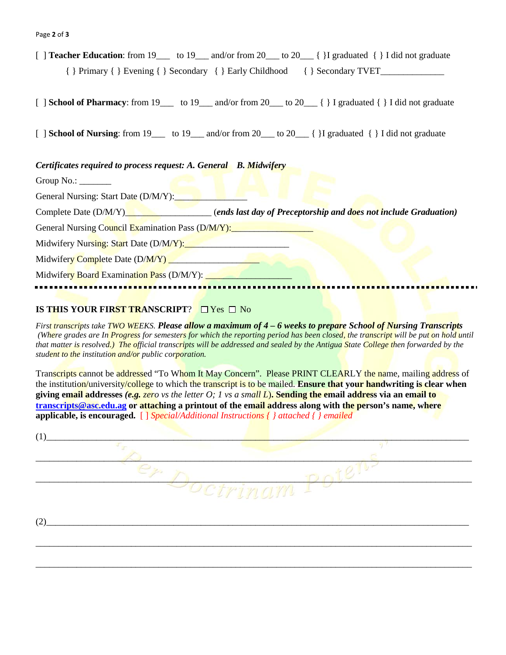[ ] **Teacher Education**: from 19  $\qquad$  to 19  $\qquad$  and/or from 20  $\qquad$  to 20  $\qquad$  { }I graduated  $\qquad$  { }I did not graduate  $\{ \}$  Primary  $\{ \}$  Evening  $\{ \}$  Secondary  $\{ \}$  Early Childhood  $\{ \}$  Secondary TVET

[ ] **School of Pharmacy**: from 19\_\_\_\_ to 19\_\_\_ and/or from 20\_\_\_ to 20\_\_\_ { } I graduated { } I did not graduate

[  $\vert$  **School of Nursing**: from 19 to 19 and/or from 20 to 20  $\vert$  {  $\vert$  I graduated  $\vert$   $\vert$  I did not graduate

*Certificates required to process request: A. General B. Midwifery* 

Group No.:

General Nursing: Start Date (D/M/Y):

Complete Date (D/M/Y)<sup>1</sup> (*ends last day of Preceptorship and does not include Graduation*)

General Nursing Council Examination Pass (D/M/Y): Midwifery Nursing: Start Date (D/M/Y):

Midwifery Complete Date (D/M/Y)

Midwifery Board Examination Pass (D/M/Y):

## **IS THIS YOUR FIRST TRANSCRIPT?**  $\Box$  Yes  $\Box$  No

monumumum<mark>um</mark>umumu<mark>mumumumumu</mark>

*First transcripts take TWO WEEKS. Please allow a maximum of 4 – 6 weeks to prepare School of Nursing Transcripts (Where grades are In Progress for semesters for which the reporting period has been closed, the transcript will be put on hold until that matter is resolved.) The official transcripts will be addressed and sealed by the Antigua State College then forwarded by the student to the institution and/or public corporation.*

Transcripts cannot be addressed "To Whom It May Concern". Please PRINT CLEARLY the name, mailing address of the institution/university/college to which the transcript is to be mailed. **Ensure that your handwriting is clear when giving email addresses** *(e.g. zero vs the letter O; 1 vs a small L*)**. Sending the email address via an email to [transcripts@asc.edu.ag](mailto:transcripts@asc.edu.ag) or attaching a printout of the email address along with the person's name, where applicable, is encouraged.** [ ] *Special/Additional Instructions { } attached { } emailed*

| (1) |                           |
|-----|---------------------------|
|     |                           |
|     |                           |
|     | $\mathcal{L}$<br>$\gamma$ |
|     |                           |
| (2) |                           |

\_\_\_\_\_\_\_\_\_\_\_\_\_\_\_\_\_\_\_\_\_\_\_\_\_\_\_\_\_\_\_\_\_\_\_\_\_\_\_\_\_\_\_\_\_\_\_\_\_\_\_\_\_\_\_\_\_\_\_\_\_\_\_\_\_\_\_\_\_\_\_\_\_\_\_\_\_\_\_\_\_\_\_\_\_\_\_\_\_\_\_\_\_\_\_\_

\_\_\_\_\_\_\_\_\_\_\_\_\_\_\_\_\_\_\_\_\_\_\_\_\_\_\_\_\_\_\_\_\_\_\_\_\_\_\_\_\_\_\_\_\_\_\_\_\_\_\_\_\_\_\_\_\_\_\_\_\_\_\_\_\_\_\_\_\_\_\_\_\_\_\_\_\_\_\_\_\_\_\_\_\_\_\_\_\_\_\_\_\_\_\_\_